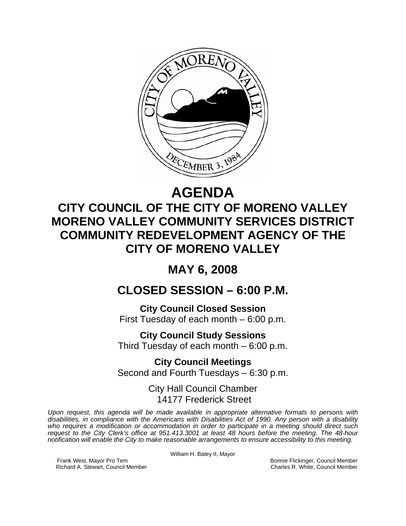

# **AGENDA**

## **CITY COUNCIL OF THE CITY OF MORENO VALLEY MORENO VALLEY COMMUNITY SERVICES DISTRICT COMMUNITY REDEVELOPMENT AGENCY OF THE CITY OF MORENO VALLEY**

### **MAY 6, 2008**

### **CLOSED SESSION – 6:00 P.M.**

**City Council Closed Session**  First Tuesday of each month – 6:00 p.m.

**City Council Study Sessions**  Third Tuesday of each month – 6:00 p.m.

**City Council Meetings**  Second and Fourth Tuesdays – 6:30 p.m.

> City Hall Council Chamber 14177 Frederick Street

*Upon request, this agenda will be made available in appropriate alternative formats to persons with disabilities, in compliance with the Americans with Disabilities Act of 1990. Any person with a disability who requires a modification or accommodation in order to participate in a meeting should direct such request to the City Clerk's office at 951.413.3001 at least 48 hours before the meeting. The 48-hour notification will enable the City to make reasonable arrangements to ensure accessibility to this meeting.* 

William H. Batey II, Mayor

Frank West, Mayor Pro Tem Bonnie Flickinger, Council Member<br>Richard A. Stewart, Council Member **Bonnie Flickinger, Council Member** Charles R. White, Council Member Richard A. Stewart, Council Member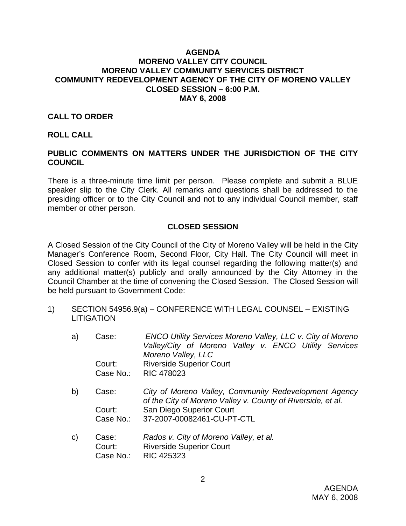#### **AGENDA MORENO VALLEY CITY COUNCIL MORENO VALLEY COMMUNITY SERVICES DISTRICT COMMUNITY REDEVELOPMENT AGENCY OF THE CITY OF MORENO VALLEY CLOSED SESSION – 6:00 P.M. MAY 6, 2008**

#### **CALL TO ORDER**

#### **ROLL CALL**

#### **PUBLIC COMMENTS ON MATTERS UNDER THE JURISDICTION OF THE CITY COUNCIL**

There is a three-minute time limit per person. Please complete and submit a BLUE speaker slip to the City Clerk. All remarks and questions shall be addressed to the presiding officer or to the City Council and not to any individual Council member, staff member or other person.

#### **CLOSED SESSION**

A Closed Session of the City Council of the City of Moreno Valley will be held in the City Manager's Conference Room, Second Floor, City Hall. The City Council will meet in Closed Session to confer with its legal counsel regarding the following matter(s) and any additional matter(s) publicly and orally announced by the City Attorney in the Council Chamber at the time of convening the Closed Session. The Closed Session will be held pursuant to Government Code:

- 1) SECTION 54956.9(a) CONFERENCE WITH LEGAL COUNSEL EXISTING **LITIGATION** 
	- a) Case: *ENCO Utility Services Moreno Valley, LLC v. City of Moreno Valley/City of Moreno Valley v. ENCO Utility Services Moreno Valley, LLC* Court: Riverside Superior Court Case No.: RIC 478023
	- b) Case: *City of Moreno Valley, Community Redevelopment Agency of the City of Moreno Valley v. County of Riverside, et al.*  Court: San Diego Superior Court Case No.: 37-2007-00082461-CU-PT-CTL
	- c) Case: *Rados v. City of Moreno Valley, et al.* Court: Riverside Superior Court Case No.: RIC 425323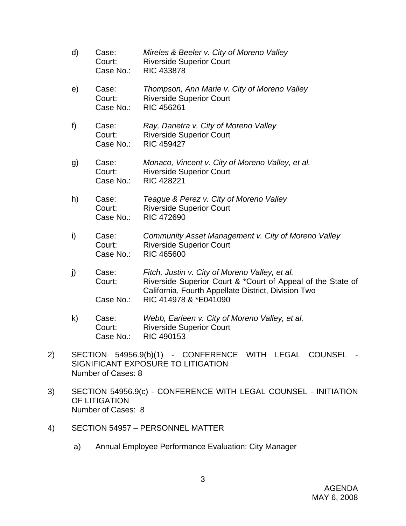- d) Case: *Mireles & Beeler v. City of Moreno Valley*  Court: Riverside Superior Court Case No.: RIC 433878 e) Case: *Thompson, Ann Marie v. City of Moreno Valley*  Court: Riverside Superior Court Case No.: RIC 456261 f) Case: *Ray, Danetra v. City of Moreno Valley*  Court: Riverside Superior Court Case No.: RIC 459427 g) Case: *Monaco, Vincent v. City of Moreno Valley, et al.*  Court: Riverside Superior Court Case No.: RIC 428221 h) Case: *Teague & Perez v. City of Moreno Valley*  Court: Riverside Superior Court Case No.: RIC 472690 i) Case: *Community Asset Management v. City of Moreno Valley*  Court: Riverside Superior Court Case No.: RIC 465600
- j) Case: *Fitch, Justin v. City of Moreno Valley, et al.*  Court: Riverside Superior Court & \*Court of Appeal of the State of California, Fourth Appellate District, Division Two Case No.: RIC 414978 & \*E041090
- k) Case: *Webb, Earleen v. City of Moreno Valley, et al.*  Court: Riverside Superior Court Case No.: RIC 490153
- 2) SECTION 54956.9(b)(1) CONFERENCE WITH LEGAL COUNSEL SIGNIFICANT EXPOSURE TO LITIGATION Number of Cases: 8
- 3) SECTION 54956.9(c) CONFERENCE WITH LEGAL COUNSEL INITIATION OF LITIGATION Number of Cases: 8
- 4) SECTION 54957 PERSONNEL MATTER
	- a) Annual Employee Performance Evaluation: City Manager